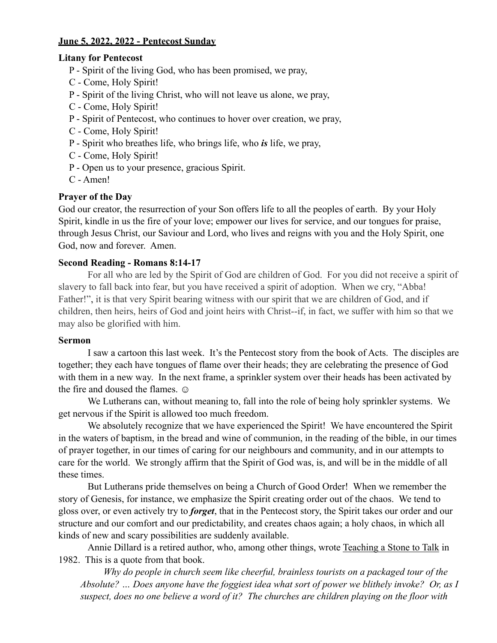# **June 5, 2022, 2022 - Pentecost Sunday**

#### **Litany for Pentecost**

- P Spirit of the living God, who has been promised, we pray,
- C Come, Holy Spirit!
- P Spirit of the living Christ, who will not leave us alone, we pray,
- C Come, Holy Spirit!
- P Spirit of Pentecost, who continues to hover over creation, we pray,
- C Come, Holy Spirit!
- P Spirit who breathes life, who brings life, who *is* life, we pray,
- C Come, Holy Spirit!
- P Open us to your presence, gracious Spirit.
- C Amen!

### **Prayer of the Day**

God our creator, the resurrection of your Son offers life to all the peoples of earth. By your Holy Spirit, kindle in us the fire of your love; empower our lives for service, and our tongues for praise, through Jesus Christ, our Saviour and Lord, who lives and reigns with you and the Holy Spirit, one God, now and forever. Amen.

### **Second Reading - Romans 8:14-17**

For all who are led by the Spirit of God are children of God. For you did not receive a spirit of slavery to fall back into fear, but you have received a spirit of adoption. When we cry, "Abba! Father!", it is that very Spirit bearing witness with our spirit that we are children of God, and if children, then heirs, heirs of God and joint heirs with Christ--if, in fact, we suffer with him so that we may also be glorified with him.

#### **Sermon**

I saw a cartoon this last week. It's the Pentecost story from the book of Acts. The disciples are together; they each have tongues of flame over their heads; they are celebrating the presence of God with them in a new way. In the next frame, a sprinkler system over their heads has been activated by the fire and doused the flames.  $\odot$ 

We Lutherans can, without meaning to, fall into the role of being holy sprinkler systems. We get nervous if the Spirit is allowed too much freedom.

We absolutely recognize that we have experienced the Spirit! We have encountered the Spirit in the waters of baptism, in the bread and wine of communion, in the reading of the bible, in our times of prayer together, in our times of caring for our neighbours and community, and in our attempts to care for the world. We strongly affirm that the Spirit of God was, is, and will be in the middle of all these times.

But Lutherans pride themselves on being a Church of Good Order! When we remember the story of Genesis, for instance, we emphasize the Spirit creating order out of the chaos. We tend to gloss over, or even actively try to *forget*, that in the Pentecost story, the Spirit takes our order and our structure and our comfort and our predictability, and creates chaos again; a holy chaos, in which all kinds of new and scary possibilities are suddenly available.

Annie Dillard is a retired author, who, among other things, wrote Teaching a Stone to Talk in 1982. This is a quote from that book.

*Why do people in church seem like cheerful, brainless tourists on a packaged tour of the Absolute? … Does anyone have the foggiest idea what sort of power we blithely invoke? Or, as I suspect, does no one believe a word of it? The churches are children playing on the floor with*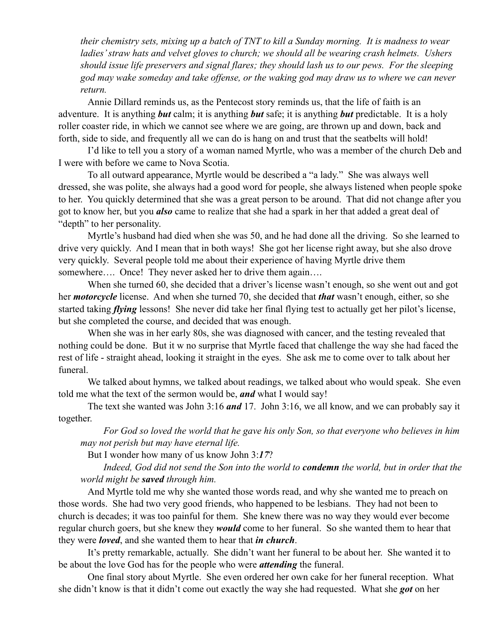*their chemistry sets, mixing up a batch of TNT to kill a Sunday morning. It is madness to wear ladies' straw hats and velvet gloves to church; we should all be wearing crash helmets. Ushers should issue life preservers and signal flares; they should lash us to our pews. For the sleeping god may wake someday and take offense, or the waking god may draw us to where we can never return.*

Annie Dillard reminds us, as the Pentecost story reminds us, that the life of faith is an adventure. It is anything *but* calm; it is anything *but* safe; it is anything *but* predictable. It is a holy roller coaster ride, in which we cannot see where we are going, are thrown up and down, back and forth, side to side, and frequently all we can do is hang on and trust that the seatbelts will hold!

I'd like to tell you a story of a woman named Myrtle, who was a member of the church Deb and I were with before we came to Nova Scotia.

To all outward appearance, Myrtle would be described a "a lady." She was always well dressed, she was polite, she always had a good word for people, she always listened when people spoke to her. You quickly determined that she was a great person to be around. That did not change after you got to know her, but you *also* came to realize that she had a spark in her that added a great deal of "depth" to her personality.

Myrtle's husband had died when she was 50, and he had done all the driving. So she learned to drive very quickly. And I mean that in both ways! She got her license right away, but she also drove very quickly. Several people told me about their experience of having Myrtle drive them somewhere.... Once! They never asked her to drive them again....

When she turned 60, she decided that a driver's license wasn't enough, so she went out and got her *motorcycle* license. And when she turned 70, she decided that *that* wasn't enough, either, so she started taking *flying* lessons! She never did take her final flying test to actually get her pilot's license, but she completed the course, and decided that was enough.

When she was in her early 80s, she was diagnosed with cancer, and the testing revealed that nothing could be done. But it w no surprise that Myrtle faced that challenge the way she had faced the rest of life - straight ahead, looking it straight in the eyes. She ask me to come over to talk about her funeral.

We talked about hymns, we talked about readings, we talked about who would speak. She even told me what the text of the sermon would be, *and* what I would say!

The text she wanted was John 3:16 *and* 17. John 3:16, we all know, and we can probably say it together.

*For God so loved the world that he gave his only Son, so that everyone who believes in him may not perish but may have eternal life.*

But I wonder how many of us know John 3:*17*?

*Indeed, God did not send the Son into the world to condemn the world, but in order that the world might be saved through him.*

And Myrtle told me why she wanted those words read, and why she wanted me to preach on those words. She had two very good friends, who happened to be lesbians. They had not been to church is decades; it was too painful for them. She knew there was no way they would ever become regular church goers, but she knew they *would* come to her funeral. So she wanted them to hear that they were *loved*, and she wanted them to hear that *in church*.

It's pretty remarkable, actually. She didn't want her funeral to be about her. She wanted it to be about the love God has for the people who were *attending* the funeral.

One final story about Myrtle. She even ordered her own cake for her funeral reception. What she didn't know is that it didn't come out exactly the way she had requested. What she *got* on her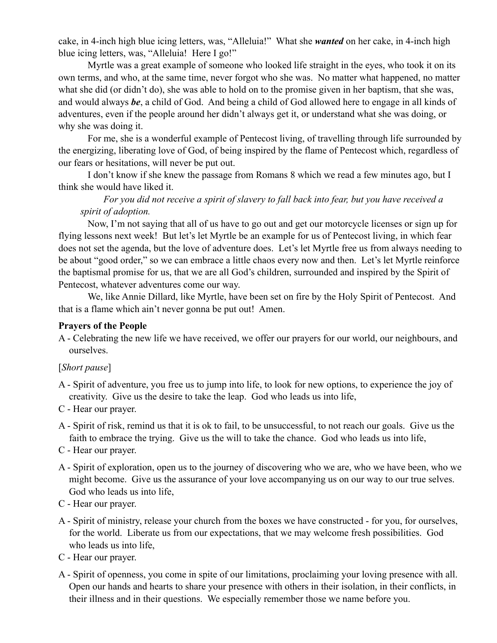cake, in 4-inch high blue icing letters, was, "Alleluia!" What she *wanted* on her cake, in 4-inch high blue icing letters, was, "Alleluia! Here I go!"

Myrtle was a great example of someone who looked life straight in the eyes, who took it on its own terms, and who, at the same time, never forgot who she was. No matter what happened, no matter what she did (or didn't do), she was able to hold on to the promise given in her baptism, that she was, and would always *be*, a child of God. And being a child of God allowed here to engage in all kinds of adventures, even if the people around her didn't always get it, or understand what she was doing, or why she was doing it.

For me, she is a wonderful example of Pentecost living, of travelling through life surrounded by the energizing, liberating love of God, of being inspired by the flame of Pentecost which, regardless of our fears or hesitations, will never be put out.

I don't know if she knew the passage from Romans 8 which we read a few minutes ago, but I think she would have liked it.

# *For you did not receive a spirit of slavery to fall back into fear, but you have received a spirit of adoption.*

Now, I'm not saying that all of us have to go out and get our motorcycle licenses or sign up for flying lessons next week! But let's let Myrtle be an example for us of Pentecost living, in which fear does not set the agenda, but the love of adventure does. Let's let Myrtle free us from always needing to be about "good order," so we can embrace a little chaos every now and then. Let's let Myrtle reinforce the baptismal promise for us, that we are all God's children, surrounded and inspired by the Spirit of Pentecost, whatever adventures come our way.

We, like Annie Dillard, like Myrtle, have been set on fire by the Holy Spirit of Pentecost. And that is a flame which ain't never gonna be put out! Amen.

### **Prayers of the People**

A - Celebrating the new life we have received, we offer our prayers for our world, our neighbours, and ourselves.

# [*Short pause*]

- A Spirit of adventure, you free us to jump into life, to look for new options, to experience the joy of creativity. Give us the desire to take the leap. God who leads us into life,
- C Hear our prayer.
- A Spirit of risk, remind us that it is ok to fail, to be unsuccessful, to not reach our goals. Give us the faith to embrace the trying. Give us the will to take the chance. God who leads us into life,
- C Hear our prayer.
- A Spirit of exploration, open us to the journey of discovering who we are, who we have been, who we might become. Give us the assurance of your love accompanying us on our way to our true selves. God who leads us into life,
- C Hear our prayer.
- A Spirit of ministry, release your church from the boxes we have constructed for you, for ourselves, for the world. Liberate us from our expectations, that we may welcome fresh possibilities. God who leads us into life,
- C Hear our prayer.
- A Spirit of openness, you come in spite of our limitations, proclaiming your loving presence with all. Open our hands and hearts to share your presence with others in their isolation, in their conflicts, in their illness and in their questions. We especially remember those we name before you.